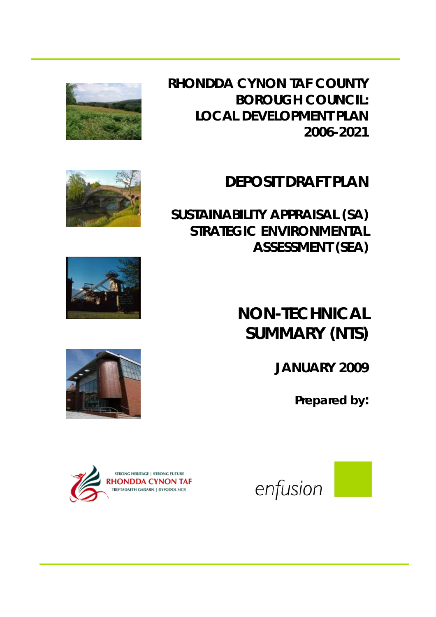**RHONDDA CYNON TAF COUNTY BOROUGH COUNCIL: LOCAL DEVELOPMENT PLAN 2006-2021**

**DEPOSIT DRAFT PLAN**

**SUSTAINABILITY APPRAISAL (SA) STRATEGIC ENVIRONMENTAL ASSESSMENT (SEA)**

> **NON-TECHNICAL SUMMARY (NTS)**

> > **JANUARY 2009**

**Prepared by:**













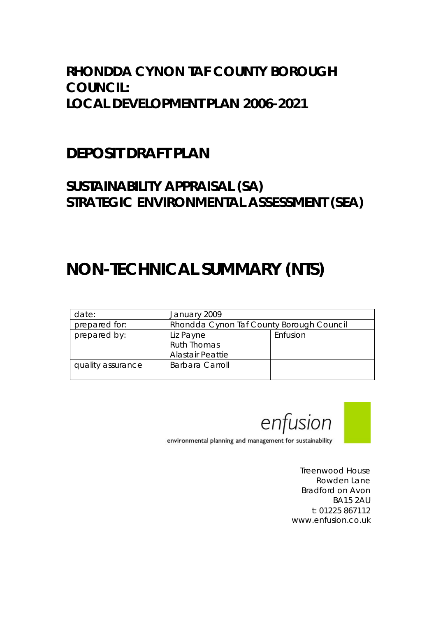# **RHONDDA CYNON TAF COUNTY BOROUGH COUNCIL: LOCAL DEVELOPMENT PLAN 2006-2021**

# **DEPOSIT DRAFT PLAN**

# **SUSTAINABILITY APPRAISAL (SA) STRATEGIC ENVIRONMENTAL ASSESSMENT (SEA)**

# **NON-TECHNICAL SUMMARY (NTS)**

| date:             | January 2009                             |          |
|-------------------|------------------------------------------|----------|
| prepared for:     | Rhondda Cynon Taf County Borough Council |          |
| prepared by:      | Liz Payne                                | Enfusion |
|                   | <b>Ruth Thomas</b>                       |          |
|                   | <b>Alastair Peattie</b>                  |          |
| quality assurance | Barbara Carroll                          |          |
|                   |                                          |          |



environmental planning and management for sustainability

Treenwood House Rowden Lane Bradford on Avon BA15 2AU t: 01225 867112 www.enfusion.co.uk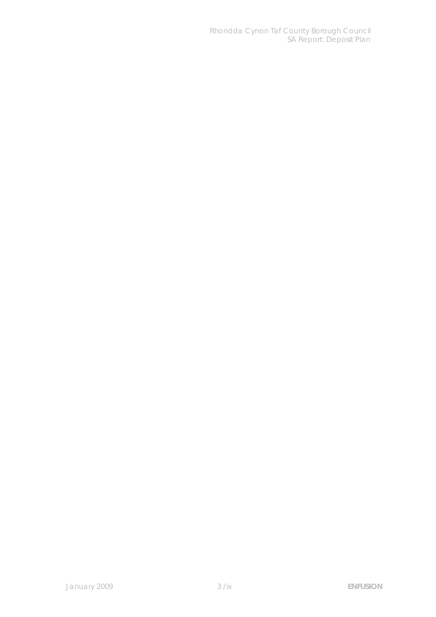Rhondda Cynon Taf County Borough Council SA Report: Deposit Plan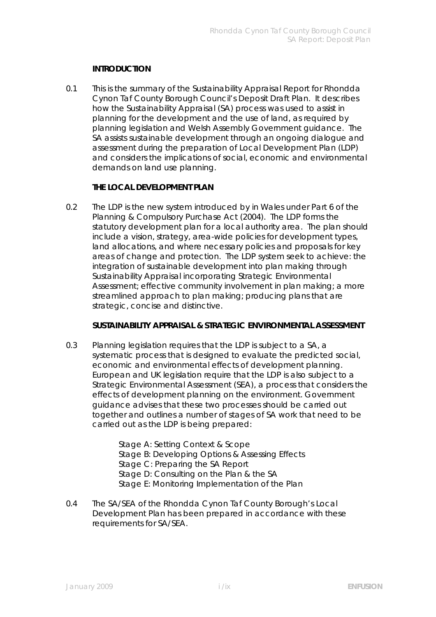# **INTRODUCTION**

0.1 This is the summary of the Sustainability Appraisal Report for Rhondda Cynon Taf County Borough Council's Deposit Draft Plan. It describes how the Sustainability Appraisal (SA) process was used to assist in planning for the development and the use of land, as required by planning legislation and Welsh Assembly Government guidance. The SA assists sustainable development through an ongoing dialogue and assessment during the preparation of Local Development Plan (LDP) and considers the implications of social, economic and environmental demands on land use planning.

# **THE LOCAL DEVELOPMENT PLAN**

0.2 The LDP is the new system introduced by in Wales under Part 6 of the Planning & Compulsory Purchase Act (2004). The LDP forms the statutory development plan for a local authority area. The plan should include a vision, strategy, area-wide policies for development types, land allocations, and where necessary policies and proposals for key areas of change and protection. The LDP system seek to achieve: the integration of sustainable development into plan making through Sustainability Appraisal incorporating Strategic Environmental Assessment; effective community involvement in plan making; a more streamlined approach to plan making; producing plans that are strategic, concise and distinctive.

# **SUSTAINABILITY APPRAISAL & STRATEGIC ENVIRONMENTAL ASSESSMENT**

0.3 Planning legislation requires that the LDP is subject to a SA, a systematic process that is designed to evaluate the predicted social, economic and environmental effects of development planning. European and UK legislation require that the LDP is also subject to a Strategic Environmental Assessment (SEA), a process that considers the effects of development planning on the environment. Government guidance advises that these two processes should be carried out together and outlines a number of stages of SA work that need to be carried out as the LDP is being prepared:

> Stage A: Setting Context & Scope Stage B: Developing Options & Assessing Effects Stage C: Preparing the SA Report Stage D: Consulting on the Plan & the SA Stage E: Monitoring Implementation of the Plan

0.4 The SA/SEA of the Rhondda Cynon Taf County Borough's Local Development Plan has been prepared in accordance with these requirements for SA/SEA.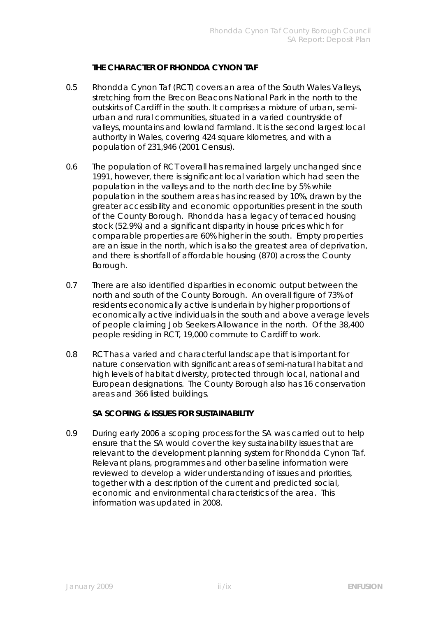# **THE CHARACTER OF RHONDDA CYNON TAF**

- 0.5 Rhondda Cynon Taf (RCT) covers an area of the South Wales Valleys, stretching from the Brecon Beacons National Park in the north to the outskirts of Cardiff in the south. It comprises a mixture of urban, semiurban and rural communities, situated in a varied countryside of valleys, mountains and lowland farmland. It is the second largest local authority in Wales, covering 424 square kilometres, and with a population of 231,946 (2001 Census).
- 0.6 The population of RCT overall has remained largely unchanged since 1991, however, there is significant local variation which had seen the population in the valleys and to the north decline by 5% while population in the southern areas has increased by 10%, drawn by the greater accessibility and economic opportunities present in the south of the County Borough. Rhondda has a legacy of terraced housing stock (52.9%) and a significant disparity in house prices which for comparable properties are 60% higher in the south. Empty properties are an issue in the north, which is also the greatest area of deprivation, and there is shortfall of affordable housing (870) across the County Borough.
- 0.7 There are also identified disparities in economic output between the north and south of the County Borough. An overall figure of 73% of residents economically active is underlain by higher proportions of economically active individuals in the south and above average levels of people claiming Job Seekers Allowance in the north. Of the 38,400 people residing in RCT, 19,000 commute to Cardiff to work.
- 0.8 RCT has a varied and characterful landscape that is important for nature conservation with significant areas of semi-natural habitat and high levels of habitat diversity, protected through local, national and European designations. The County Borough also has 16 conservation areas and 366 listed buildings.

# **SA SCOPING & ISSUES FOR SUSTAINABILITY**

0.9 During early 2006 a scoping process for the SA was carried out to help ensure that the SA would cover the key sustainability issues that are relevant to the development planning system for Rhondda Cynon Taf. Relevant plans, programmes and other baseline information were reviewed to develop a wider understanding of issues and priorities, together with a description of the current and predicted social, economic and environmental characteristics of the area. This information was updated in 2008.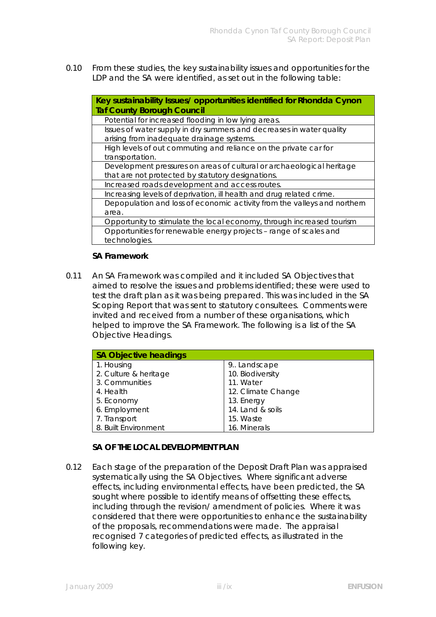0.10 From these studies, the key sustainability issues and opportunities for the LDP and the SA were identified, as set out in the following table:

| Key sustainability Issues/ opportunities identified for Rhondda Cynon<br><b>Taf County Borough Council</b>        |  |  |
|-------------------------------------------------------------------------------------------------------------------|--|--|
| Potential for increased flooding in low lying areas.                                                              |  |  |
| Issues of water supply in dry summers and decreases in water quality<br>arising from inadequate drainage systems. |  |  |
| High levels of out commuting and reliance on the private car for                                                  |  |  |
| transportation.                                                                                                   |  |  |
| Development pressures on areas of cultural or archaeological heritage                                             |  |  |
| that are not protected by statutory designations.                                                                 |  |  |
| Increased roads development and access routes.                                                                    |  |  |
| Increasing levels of deprivation, ill health and drug related crime.                                              |  |  |
| Depopulation and loss of economic activity from the valleys and northern                                          |  |  |
| area.                                                                                                             |  |  |
| Opportunity to stimulate the local economy, through increased tourism                                             |  |  |
| Opportunities for renewable energy projects - range of scales and                                                 |  |  |
| technologies.                                                                                                     |  |  |

# **SA Framework**

0.11 An SA Framework was compiled and it included SA Objectives that aimed to resolve the issues and problems identified; these were used to test the draft plan as it was being prepared. This was included in the SA Scoping Report that was sent to statutory consultees. Comments were invited and received from a number of these organisations, which helped to improve the SA Framework. The following is a list of the SA Objective Headings.

| <b>SA Objective headings</b> |                    |  |
|------------------------------|--------------------|--|
| 1. Housing                   | 9. Landscape       |  |
| 2. Culture & heritage        | 10. Biodiversity   |  |
| 3. Communities               | 11. Water          |  |
| 4. Health                    | 12. Climate Change |  |
| 5. Economy                   | 13. Energy         |  |
| 6. Employment                | 14. Land & soils   |  |
| 7. Transport                 | 15. Waste          |  |
| 8. Built Environment         | 16. Minerals       |  |

# **SA OF THE LOCAL DEVELOPMENT PLAN**

0.12 Each stage of the preparation of the Deposit Draft Plan was appraised systematically using the SA Objectives. Where significant adverse effects, including environmental effects, have been predicted, the SA sought where possible to identify means of offsetting these effects, including through the revision/ amendment of policies. Where it was considered that there were opportunities to enhance the sustainability of the proposals, recommendations were made. The appraisal recognised 7 categories of predicted effects, as illustrated in the following key.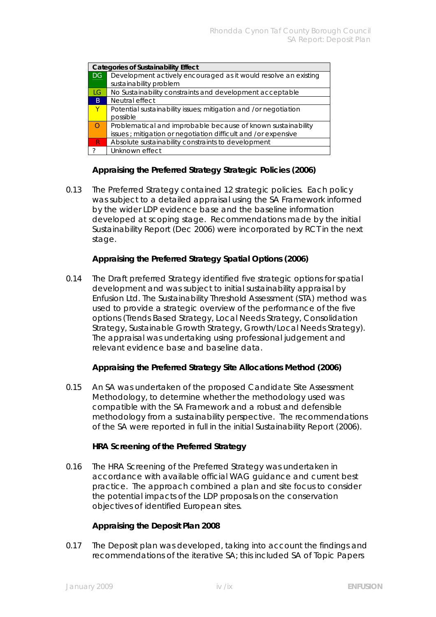| <b>Categories of Sustainability Effect</b> |                                                                 |  |
|--------------------------------------------|-----------------------------------------------------------------|--|
| DG                                         | Development actively encouraged as it would resolve an existing |  |
|                                            | sustainability problem                                          |  |
| ILG.                                       | No Sustainability constraints and development acceptable        |  |
| <sup>B</sup>                               | Neutral effect                                                  |  |
| Y                                          | Potential sustainability issues; mitigation and /or negotiation |  |
|                                            | possible                                                        |  |
| $\left( \right)$                           | Problematical and improbable because of known sustainability    |  |
|                                            | issues ; mitigation or negotiation difficult and /or expensive  |  |
| -R                                         | Absolute sustainability constraints to development              |  |
| っ                                          | Unknown effect                                                  |  |

#### **Appraising the Preferred Strategy Strategic Policies (2006)**

0.13 The Preferred Strategy contained 12 strategic policies. Each policy was subject to a detailed appraisal using the SA Framework informed by the wider LDP evidence base and the baseline information developed at scoping stage. Recommendations made by the initial Sustainability Report (Dec 2006) were incorporated by RCT in the next stage.

#### **Appraising the Preferred Strategy Spatial Options (2006)**

0.14 The Draft preferred Strategy identified five strategic options for spatial development and was subject to initial sustainability appraisal by Enfusion Ltd. The Sustainability Threshold Assessment (STA) method was used to provide a strategic overview of the performance of the five options (Trends Based Strategy, Local Needs Strategy, Consolidation Strategy, Sustainable Growth Strategy, Growth/Local Needs Strategy). The appraisal was undertaking using professional judgement and relevant evidence base and baseline data.

#### **Appraising the Preferred Strategy Site Allocations Method (2006)**

0.15 An SA was undertaken of the proposed Candidate Site Assessment Methodology, to determine whether the methodology used was compatible with the SA Framework and a robust and defensible methodology from a sustainability perspective. The recommendations of the SA were reported in full in the initial Sustainability Report (2006).

#### **HRA Screening of the Preferred Strategy**

0.16 The HRA Screening of the Preferred Strategy was undertaken in accordance with available official WAG guidance and current best practice. The approach combined a plan and site focus to consider the potential impacts of the LDP proposals on the conservation objectives of identified European sites.

# **Appraising the Deposit Plan 2008**

0.17 The Deposit plan was developed, taking into account the findings and recommendations of the iterative SA; this included SA of Topic Papers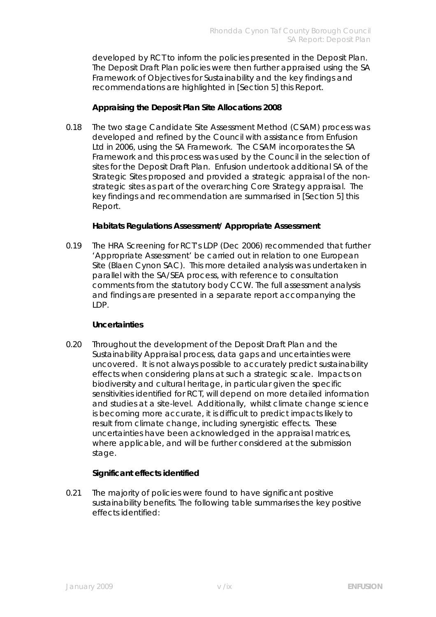developed by RCT to inform the policies presented in the Deposit Plan. The Deposit Draft Plan policies were then further appraised using the SA Framework of Objectives for Sustainability and the key findings and recommendations are highlighted in [Section 5] this Report.

### **Appraising the Deposit Plan Site Allocations 2008**

0.18 The two stage Candidate Site Assessment Method (CSAM) process was developed and refined by the Council with assistance from Enfusion Ltd in 2006, using the SA Framework. The CSAM incorporates the SA Framework and this process was used by the Council in the selection of sites for the Deposit Draft Plan. Enfusion undertook additional SA of the Strategic Sites proposed and provided a strategic appraisal of the nonstrategic sites as part of the overarching Core Strategy appraisal. The key findings and recommendation are summarised in [Section 5] this Report.

#### **Habitats Regulations Assessment/ Appropriate Assessment**

0.19 The HRA Screening for RCT's LDP (Dec 2006) recommended that further 'Appropriate Assessment' be carried out in relation to one European Site (Blaen Cynon SAC). This more detailed analysis was undertaken in parallel with the SA/SEA process, with reference to consultation comments from the statutory body CCW. The full assessment analysis and findings are presented in a separate report accompanying the LDP.

# **Uncertainties**

0.20 Throughout the development of the Deposit Draft Plan and the Sustainability Appraisal process, data gaps and uncertainties were uncovered. It is not always possible to accurately predict sustainability effects when considering plans at such a strategic scale. Impacts on biodiversity and cultural heritage, in particular given the specific sensitivities identified for RCT, will depend on more detailed information and studies at a site-level. Additionally, whilst climate change science is becoming more accurate, it is difficult to predict impacts likely to result from climate change, including synergistic effects. These uncertainties have been acknowledged in the appraisal matrices, where applicable, and will be further considered at the submission stage.

# **Significant effects identified**

0.21 The majority of policies were found to have significant positive sustainability benefits. The following table summarises the key positive effects identified: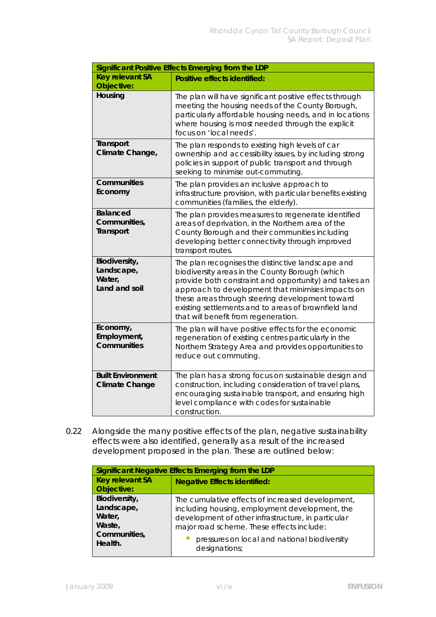| Significant Positive Effects Emerging from the LDP     |                                                                                                                                                                                                                                                                                                                                                                       |  |
|--------------------------------------------------------|-----------------------------------------------------------------------------------------------------------------------------------------------------------------------------------------------------------------------------------------------------------------------------------------------------------------------------------------------------------------------|--|
| <b>Key relevant SA</b>                                 | Positive effects identified:                                                                                                                                                                                                                                                                                                                                          |  |
| Objective:                                             |                                                                                                                                                                                                                                                                                                                                                                       |  |
| Housing                                                | The plan will have significant positive effects through<br>meeting the housing needs of the County Borough,<br>particularly affordable housing needs, and in locations<br>where housing is most needed through the explicit<br>focus on 'local needs'.                                                                                                                |  |
| Transport<br>Climate Change,                           | The plan responds to existing high levels of car<br>ownership and accessibility issues, by including strong<br>policies in support of public transport and through<br>seeking to minimise out-commuting.                                                                                                                                                              |  |
| <b>Communities</b><br>Economy                          | The plan provides an inclusive approach to<br>infrastructure provision, with particular benefits existing<br>communities (families, the elderly).                                                                                                                                                                                                                     |  |
| <b>Balanced</b><br>Communities,<br>Transport           | The plan provides measures to regenerate identified<br>areas of deprivation, in the Northern area of the<br>County Borough and their communities including<br>developing better connectivity through improved<br>transport routes.                                                                                                                                    |  |
| Biodiversity,<br>Landscape,<br>Water,<br>Land and soil | The plan recognises the distinctive landscape and<br>biodiversity areas in the County Borough (which<br>provide both constraint and opportunity) and takes an<br>approach to development that minimises impacts on<br>these areas through steering development toward<br>existing settlements and to areas of brownfield land<br>that will benefit from regeneration. |  |
| Economy,<br>Employment,<br><b>Communities</b>          | The plan will have positive effects for the economic<br>regeneration of existing centres particularly in the<br>Northern Strategy Area and provides opportunities to<br>reduce out commuting.                                                                                                                                                                         |  |
| <b>Built Environment</b><br><b>Climate Change</b>      | The plan has a strong focus on sustainable design and<br>construction, including consideration of travel plans,<br>encouraging sustainable transport, and ensuring high<br>level compliance with codes for sustainable<br>construction.                                                                                                                               |  |

0.22 Alongside the many positive effects of the plan, negative sustainability effects were also identified, generally as a result of the increased development proposed in the plan. These are outlined below:

| Significant Negative Effects Emerging from the LDP |                                                    |  |
|----------------------------------------------------|----------------------------------------------------|--|
| <b>Key relevant SA</b><br>Objective:               | <b>Negative Effects identified:</b>                |  |
|                                                    |                                                    |  |
| Biodiversity,                                      | The cumulative effects of increased development,   |  |
| Landscape,                                         | including housing, employment development, the     |  |
| Water,                                             | development of other infrastructure, in particular |  |
| Waste,                                             |                                                    |  |
|                                                    | major road scheme. These effects include:          |  |
| Communities,                                       | pressures on local and national biodiversity       |  |
| Health.                                            | designations;                                      |  |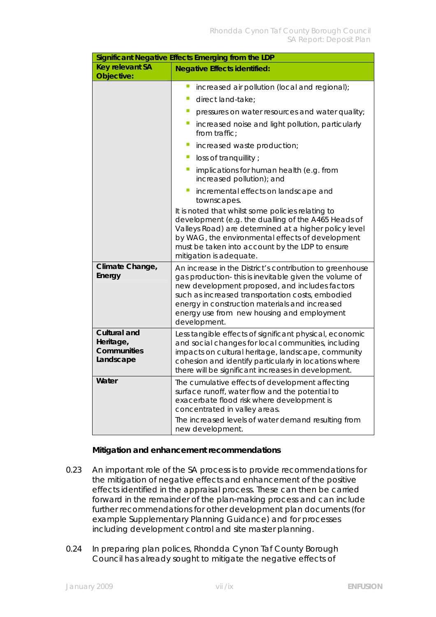| Significant Negative Effects Emerging from the LDP           |                                                                                                                                                                                                                                                                                                                                                                                                                                                                                                                                                                                                                                                                                                   |  |
|--------------------------------------------------------------|---------------------------------------------------------------------------------------------------------------------------------------------------------------------------------------------------------------------------------------------------------------------------------------------------------------------------------------------------------------------------------------------------------------------------------------------------------------------------------------------------------------------------------------------------------------------------------------------------------------------------------------------------------------------------------------------------|--|
| <b>Key relevant SA</b><br>Objective:                         | <b>Negative Effects identified:</b>                                                                                                                                                                                                                                                                                                                                                                                                                                                                                                                                                                                                                                                               |  |
|                                                              | T,<br>increased air pollution (local and regional);<br>direct land-take;<br>T.<br>T.<br>pressures on water resources and water quality;<br>T.<br>increased noise and light pollution, particularly<br>from traffic;<br>$\mathcal{C}$<br>increased waste production;<br>$\mathcal{L}_{\mathcal{A}}$<br>loss of tranquillity ;<br>T.<br>implications for human health (e.g. from<br>increased pollution); and<br>T.<br>incremental effects on landscape and<br>townscapes.<br>It is noted that whilst some policies relating to<br>development (e.g. the dualling of the A465 Heads of<br>Valleys Road) are determined at a higher policy level<br>by WAG, the environmental effects of development |  |
| Climate Change,<br>Energy                                    | must be taken into account by the LDP to ensure<br>mitigation is adequate.<br>An increase in the District's contribution to greenhouse<br>gas production- this is inevitable given the volume of<br>new development proposed, and includes factors<br>such as increased transportation costs, embodied<br>energy in construction materials and increased<br>energy use from new housing and employment<br>development.                                                                                                                                                                                                                                                                            |  |
| <b>Cultural and</b><br>Heritage,<br>Communities<br>Landscape | Less tangible effects of significant physical, economic<br>and social changes for local communities, including<br>impacts on cultural heritage, landscape, community<br>cohesion and identify particularly in locations where<br>there will be significant increases in development.                                                                                                                                                                                                                                                                                                                                                                                                              |  |
| Water                                                        | The cumulative effects of development affecting<br>surface runoff, water flow and the potential to<br>exacerbate flood risk where development is<br>concentrated in valley areas.<br>The increased levels of water demand resulting from<br>new development.                                                                                                                                                                                                                                                                                                                                                                                                                                      |  |

# **Mitigation and enhancement recommendations**

- An important role of the SA process is to provide recommendations for the mitigation of negative effects and enhancement of the positive effects identified in the appraisal process. These can then be carried forward in the remainder of the plan-making process and can include further recommendations for other development plan doc uments (for 0.23 example Supplementary Planning Guidance) and for processes including development control and site master planning.
- 0.24 In preparing plan polices, Rhondda Cynon Taf County Borough Council has already sought to mitigate the negative effects of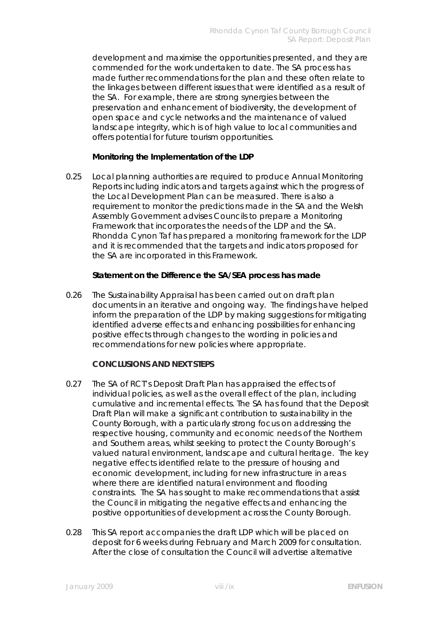development and maximise the opportunities presented, and they are commended for the work undertaken to date. The SA process has made further recommendations for the plan and these often r elate to the linkages between different issues that were identified as a result o f the SA. For example, there are strong synergies between the preservation and enhancement of biodiversity, the development of open space and cycle networks and the mainte nance of valued landscape integrity, which is of high value to local communities and offers potential for future tourism opportunities.

# **Monitoring the Implementation of the LDP**

0.25 Local planning authorities are required to produce Annual Monitoring requirement to monitor the predictions made in the SA and the Welsh Rhondda Cynon Taf has prepared a monitoring framework for the LDP and it is recommended that the targets and indicators proposed for Reports including indicators and targets against which the progress of the Local Development Plan can be measured. There is also a Assembly Government advises Councils to prepare a Monitoring Framework that incorporates the needs of the LDP and the SA. the SA are incorporated in this Framework.

#### **Statement on the Difference the SA/SEA process has made**

0.26 inform the preparation of the LDP by making suggestions for mitigating identified adverse effects and enhancing possibilities for enhancing positive effects through changes to the wording in policies and recommendations for new policies where appropriate. The Sustainability Appraisal has been carried out on draft plan documents in an iterative and ongoing way. The findings have helped

# **CONCLUSIONS AND NEXT STEPS**

- 0.27 cumulative and incremental effects. The SA has found that the Deposit and Southern areas, whilst seeking to protect the County Borough's negative effects identified relate to the pressure of housing and constraints. The SA has sought to make recommendations that assist the Council in mitigating the negative effects and enhancing the The SA of RCT's Deposit Draft Plan has appraised the effects of individual policies, as well as the overall effect of the plan, including Draft Plan will make a significant contribution to sustainability in the County Borough, with a particularly strong focus on addressing the respective housing, community and economic needs of the Northern valued natural environment, landscape and cultural heritage. The key economic development, including for new infrastructure in areas where there are identified natural environment and flooding positive opportunities of development across the County Borough.
- 0.28 . deposit for 6 weeks during February and March 2009 for consultation This SA report accompanies the draft LDP which will be placed on After the close of consultation the Council will advertise alternative